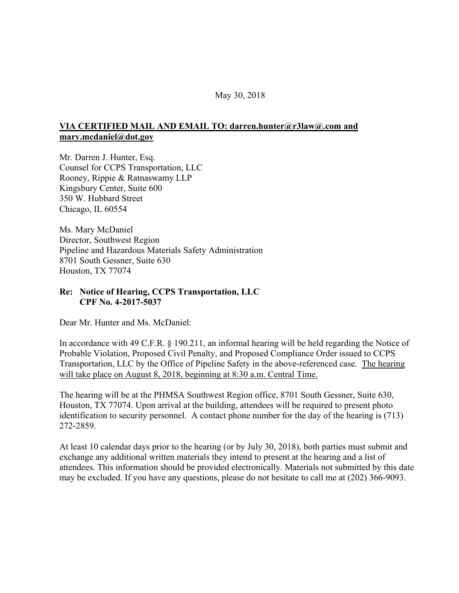## May 30, 2018

## **VIA CERTIFIED MAIL AND EMAIL TO: darren.hunter@r3law@.com and mary.mcdaniel@dot.gov**

Mr. Darren J. Hunter, Esq. Counsel for CCPS Transportation, LLC Rooney, Rippie & Ratnaswamy LLP Kingsbury Center, Suite 600 350 W. Hubbard Street Chicago, IL 60554

Ms. Mary McDaniel Director, Southwest Region Pipeline and Hazardous Materials Safety Administration 8701 South Gessner, Suite 630 Houston, TX 77074

## **Re: Notice of Hearing, CCPS Transportation, LLC CPF No. 4-2017-5037**

Dear Mr. Hunter and Ms. McDaniel:

In accordance with 49 C.F.R. § 190.211, an informal hearing will be held regarding the Notice of Probable Violation, Proposed Civil Penalty, and Proposed Compliance Order issued to CCPS Transportation, LLC by the Office of Pipeline Safety in the above-referenced case. The hearing will take place on August 8, 2018, beginning at 8:30 a.m. Central Time.

The hearing will be at the PHMSA Southwest Region office, 8701 South Gessner, Suite 630, Houston, TX 77074. Upon arrival at the building, attendees will be required to present photo identification to security personnel. A contact phone number for the day of the hearing is (713) 272-2859.

At least 10 calendar days prior to the hearing (or by July 30, 2018), both parties must submit and exchange any additional written materials they intend to present at the hearing and a list of attendees. This information should be provided electronically. Materials not submitted by this date may be excluded. If you have any questions, please do not hesitate to call me at (202) 366-9093.